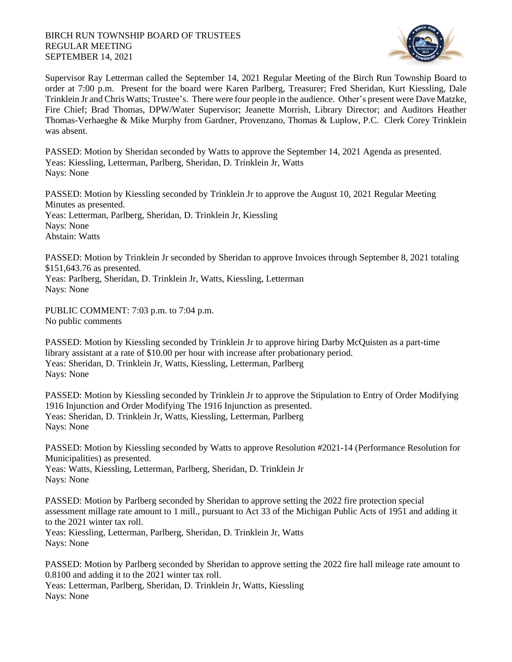## BIRCH RUN TOWNSHIP BOARD OF TRUSTEES REGULAR MEETING SEPTEMBER 14, 2021



Supervisor Ray Letterman called the September 14, 2021 Regular Meeting of the Birch Run Township Board to order at 7:00 p.m. Present for the board were Karen Parlberg, Treasurer; Fred Sheridan, Kurt Kiessling, Dale Trinklein Jr and Chris Watts; Trustee's. There were four people in the audience. Other's present were Dave Matzke, Fire Chief; Brad Thomas, DPW/Water Supervisor; Jeanette Morrish, Library Director; and Auditors Heather Thomas-Verhaeghe & Mike Murphy from Gardner, Provenzano, Thomas & Luplow, P.C. Clerk Corey Trinklein was absent.

PASSED: Motion by Sheridan seconded by Watts to approve the September 14, 2021 Agenda as presented. Yeas: Kiessling, Letterman, Parlberg, Sheridan, D. Trinklein Jr, Watts Nays: None

PASSED: Motion by Kiessling seconded by Trinklein Jr to approve the August 10, 2021 Regular Meeting Minutes as presented. Yeas: Letterman, Parlberg, Sheridan, D. Trinklein Jr, Kiessling Nays: None Abstain: Watts

PASSED: Motion by Trinklein Jr seconded by Sheridan to approve Invoices through September 8, 2021 totaling \$151,643.76 as presented.

Yeas: Parlberg, Sheridan, D. Trinklein Jr, Watts, Kiessling, Letterman Nays: None

PUBLIC COMMENT: 7:03 p.m. to 7:04 p.m. No public comments

PASSED: Motion by Kiessling seconded by Trinklein Jr to approve hiring Darby McQuisten as a part-time library assistant at a rate of \$10.00 per hour with increase after probationary period. Yeas: Sheridan, D. Trinklein Jr, Watts, Kiessling, Letterman, Parlberg Nays: None

PASSED: Motion by Kiessling seconded by Trinklein Jr to approve the Stipulation to Entry of Order Modifying 1916 Injunction and Order Modifying The 1916 Injunction as presented. Yeas: Sheridan, D. Trinklein Jr, Watts, Kiessling, Letterman, Parlberg Nays: None

PASSED: Motion by Kiessling seconded by Watts to approve Resolution #2021-14 (Performance Resolution for Municipalities) as presented.

Yeas: Watts, Kiessling, Letterman, Parlberg, Sheridan, D. Trinklein Jr Nays: None

PASSED: Motion by Parlberg seconded by Sheridan to approve setting the 2022 fire protection special assessment millage rate amount to 1 mill., pursuant to Act 33 of the Michigan Public Acts of 1951 and adding it to the 2021 winter tax roll. Yeas: Kiessling, Letterman, Parlberg, Sheridan, D. Trinklein Jr, Watts Nays: None

PASSED: Motion by Parlberg seconded by Sheridan to approve setting the 2022 fire hall mileage rate amount to 0.8100 and adding it to the 2021 winter tax roll. Yeas: Letterman, Parlberg, Sheridan, D. Trinklein Jr, Watts, Kiessling Nays: None